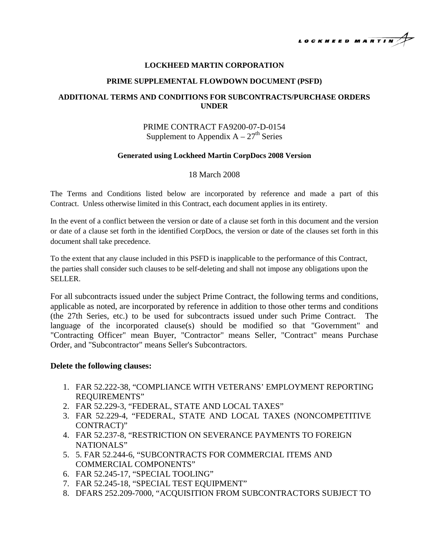

### **LOCKHEED MARTIN CORPORATION**

#### **PRIME SUPPLEMENTAL FLOWDOWN DOCUMENT (PSFD)**

## **ADDITIONAL TERMS AND CONDITIONS FOR SUBCONTRACTS/PURCHASE ORDERS UNDER**

# PRIME CONTRACT FA9200-07-D-0154 Supplement to Appendix  $A - 27<sup>th</sup>$  Series

#### **Generated using Lockheed Martin CorpDocs 2008 Version**

### 18 March 2008

The Terms and Conditions listed below are incorporated by reference and made a part of this Contract. Unless otherwise limited in this Contract, each document applies in its entirety.

In the event of a conflict between the version or date of a clause set forth in this document and the version or date of a clause set forth in the identified CorpDocs, the version or date of the clauses set forth in this document shall take precedence.

To the extent that any clause included in this PSFD is inapplicable to the performance of this Contract, the parties shall consider such clauses to be self-deleting and shall not impose any obligations upon the SELLER.

For all subcontracts issued under the subject Prime Contract, the following terms and conditions, applicable as noted, are incorporated by reference in addition to those other terms and conditions (the 27th Series, etc.) to be used for subcontracts issued under such Prime Contract. The language of the incorporated clause(s) should be modified so that "Government" and "Contracting Officer" mean Buyer, "Contractor" means Seller, "Contract" means Purchase Order, and "Subcontractor" means Seller's Subcontractors.

### **Delete the following clauses:**

- 1. FAR 52.222-38, "COMPLIANCE WITH VETERANS' EMPLOYMENT REPORTING REQUIREMENTS"
- 2. FAR 52.229-3, "FEDERAL, STATE AND LOCAL TAXES"
- 3. FAR 52.229-4, "FEDERAL, STATE AND LOCAL TAXES (NONCOMPETITIVE CONTRACT)"
- 4. FAR 52.237-8, "RESTRICTION ON SEVERANCE PAYMENTS TO FOREIGN NATIONALS"
- 5. 5. FAR 52.244-6, "SUBCONTRACTS FOR COMMERCIAL ITEMS AND COMMERCIAL COMPONENTS"
- 6. FAR 52.245-17, "SPECIAL TOOLING"
- 7. FAR 52.245-18, "SPECIAL TEST EQUIPMENT"
- 8. DFARS 252.209-7000, "ACQUISITION FROM SUBCONTRACTORS SUBJECT TO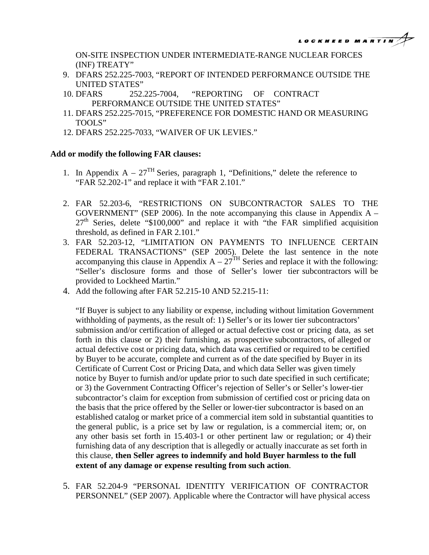ON-SITE INSPECTION UNDER INTERMEDIATE-RANGE NUCLEAR FORCES (INF) TREATY"

- 9. DFARS 252.225-7003, "REPORT OF INTENDED PERFORMANCE OUTSIDE THE UNITED STATES"
- 10. DFARS 252.225-7004, "REPORTING OF CONTRACT PERFORMANCE OUTSIDE THE UNITED STATES"
- 11. DFARS 252.225-7015, "PREFERENCE FOR DOMESTIC HAND OR MEASURING TOOLS"
- 12. DFARS 252.225-7033, "WAIVER OF UK LEVIES."

## **Add or modify the following FAR clauses:**

- 1. In Appendix  $A 27<sup>TH</sup>$  Series, paragraph 1, "Definitions," delete the reference to "FAR 52.202-1" and replace it with "FAR 2.101."
- 2. FAR 52.203-6, "RESTRICTIONS ON SUBCONTRACTOR SALES TO THE GOVERNMENT" (SEP 2006). In the note accompanying this clause in Appendix  $A 27<sup>th</sup>$  Series, delete "\$100,000" and replace it with "the FAR simplified acquisition threshold, as defined in FAR 2.101."
- 3. FAR 52.203-12, "LIMITATION ON PAYMENTS TO INFLUENCE CERTAIN FEDERAL TRANSACTIONS" (SEP 2005). Delete the last sentence in the note accompanying this clause in Appendix  $A - 27<sup>TH</sup>$  Series and replace it with the following: "Seller's disclosure forms and those of Seller's lower tier subcontractors will be provided to Lockheed Martin."
- 4. Add the following after FAR 52.215-10 AND 52.215-11:

"If Buyer is subject to any liability or expense, including without limitation Government withholding of payments, as the result of: 1) Seller's or its lower tier subcontractors' submission and/or certification of alleged or actual defective cost or pricing data, as set forth in this clause or 2) their furnishing, as prospective subcontractors, of alleged or actual defective cost or pricing data, which data was certified or required to be certified by Buyer to be accurate, complete and current as of the date specified by Buyer in its Certificate of Current Cost or Pricing Data, and which data Seller was given timely notice by Buyer to furnish and/or update prior to such date specified in such certificate; or 3) the Government Contracting Officer's rejection of Seller's or Seller's lower-tier subcontractor's claim for exception from submission of certified cost or pricing data on the basis that the price offered by the Seller or lower-tier subcontractor is based on an established catalog or market price of a commercial item sold in substantial quantities to the general public, is a price set by law or regulation, is a commercial item; or, on any other basis set forth in 15.403-1 or other pertinent law or regulation; or 4) their furnishing data of any description that is allegedly or actually inaccurate as set forth in this clause, **then Seller agrees to indemnify and hold Buyer harmless to the full extent of any damage or expense resulting from such action**.

5. FAR 52.204-9 "PERSONAL IDENTITY VERIFICATION OF CONTRACTOR PERSONNEL" (SEP 2007). Applicable where the Contractor will have physical access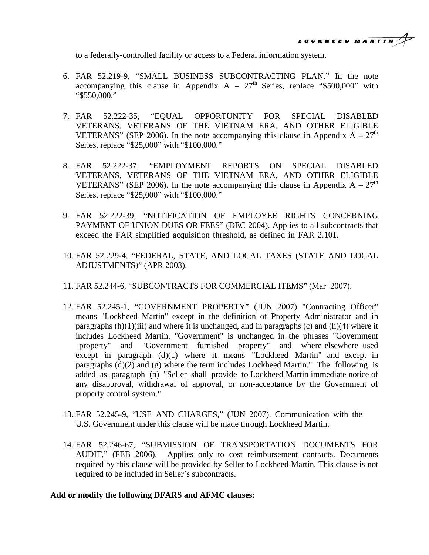

to a federally-controlled facility or access to a Federal information system.

- 6. FAR 52.219-9, "SMALL BUSINESS SUBCONTRACTING PLAN." In the note accompanying this clause in Appendix  $A - 27<sup>th</sup>$  Series, replace "\$500,000" with "\$550,000."
- 7. FAR 52.222-35, "EQUAL OPPORTUNITY FOR SPECIAL DISABLED VETERANS, VETERANS OF THE VIETNAM ERA, AND OTHER ELIGIBLE VETERANS" (SEP 2006). In the note accompanying this clause in Appendix  $A - 27<sup>th</sup>$ Series, replace "\$25,000" with "\$100,000."
- 8. FAR 52.222-37, "EMPLOYMENT REPORTS ON SPECIAL DISABLED VETERANS, VETERANS OF THE VIETNAM ERA, AND OTHER ELIGIBLE VETERANS" (SEP 2006). In the note accompanying this clause in Appendix  $A - 27<sup>th</sup>$ Series, replace "\$25,000" with "\$100,000."
- 9. FAR 52.222-39, "NOTIFICATION OF EMPLOYEE RIGHTS CONCERNING PAYMENT OF UNION DUES OR FEES" (DEC 2004). Applies to all subcontracts that exceed the FAR simplified acquisition threshold, as defined in FAR 2.101.
- 10. FAR 52.229-4, "FEDERAL, STATE, AND LOCAL TAXES (STATE AND LOCAL ADJUSTMENTS)" (APR 2003).
- 11. FAR 52.244-6, "SUBCONTRACTS FOR COMMERCIAL ITEMS" (Mar 2007).
- 12. FAR 52.245-1, "GOVERNMENT PROPERTY" (JUN 2007) "Contracting Officer" means "Lockheed Martin" except in the definition of Property Administrator and in paragraphs  $(h)(1)(iii)$  and where it is unchanged, and in paragraphs (c) and  $(h)(4)$  where it includes Lockheed Martin. "Government" is unchanged in the phrases "Government property" and "Government furnished property" and where elsewhere used except in paragraph (d)(1) where it means "Lockheed Martin" and except in paragraphs  $(d)(2)$  and  $(g)$  where the term includes Lockheed Martin." The following is added as paragraph (n) "Seller shall provide to Lockheed Martin immediate notice of any disapproval, withdrawal of approval, or non-acceptance by the Government of property control system."
- 13. FAR 52.245-9, "USE AND CHARGES," (JUN 2007). Communication with the U.S. Government under this clause will be made through Lockheed Martin.
- 14. FAR 52.246-67, "SUBMISSION OF TRANSPORTATION DOCUMENTS FOR AUDIT," (FEB 2006). Applies only to cost reimbursement contracts. Documents required by this clause will be provided by Seller to Lockheed Martin. This clause is not required to be included in Seller's subcontracts.

## **Add or modify the following DFARS and AFMC clauses:**